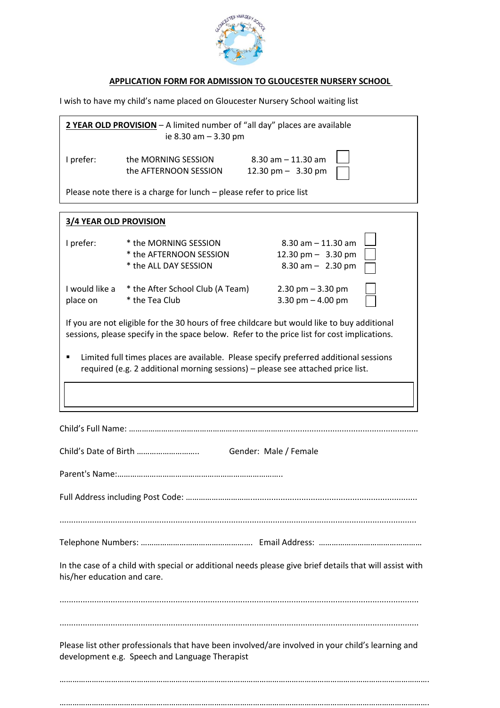

## **APPLICATION FORM FOR ADMISSION TO GLOUCESTER NURSERY SCHOOL**

I wish to have my child's name placed on Gloucester Nursery School waiting list

| 2 YEAR OLD PROVISION - A limited number of "all day" places are available<br>ie 8.30 am - 3.30 pm                                                                                          |                                                                           |                                                                        |
|--------------------------------------------------------------------------------------------------------------------------------------------------------------------------------------------|---------------------------------------------------------------------------|------------------------------------------------------------------------|
| I prefer:                                                                                                                                                                                  | the MORNING SESSION<br>the AFTERNOON SESSION                              | $8.30$ am $- 11.30$ am<br>12.30 pm $-$ 3.30 pm                         |
| Please note there is a charge for lunch - please refer to price list                                                                                                                       |                                                                           |                                                                        |
| <b>3/4 YEAR OLD PROVISION</b>                                                                                                                                                              |                                                                           |                                                                        |
| I prefer:                                                                                                                                                                                  | * the MORNING SESSION<br>* the AFTERNOON SESSION<br>* the ALL DAY SESSION | $8.30$ am $-11.30$ am<br>12.30 pm $-$ 3.30 pm<br>$8.30$ am $-$ 2.30 pm |
| I would like a<br>place on                                                                                                                                                                 | * the After School Club (A Team)<br>* the Tea Club                        | $2.30$ pm $-3.30$ pm<br>3.30 pm $-$ 4.00 pm                            |
| If you are not eligible for the 30 hours of free childcare but would like to buy additional<br>sessions, please specify in the space below. Refer to the price list for cost implications. |                                                                           |                                                                        |
| Limited full times places are available. Please specify preferred additional sessions<br>required (e.g. 2 additional morning sessions) - please see attached price list.                   |                                                                           |                                                                        |
|                                                                                                                                                                                            |                                                                           |                                                                        |
|                                                                                                                                                                                            |                                                                           |                                                                        |
| Gender: Male / Female                                                                                                                                                                      |                                                                           |                                                                        |
|                                                                                                                                                                                            |                                                                           |                                                                        |
|                                                                                                                                                                                            |                                                                           |                                                                        |
|                                                                                                                                                                                            |                                                                           |                                                                        |
| In the case of a child with special or additional needs please give brief details that will assist with<br>his/her education and care.                                                     |                                                                           |                                                                        |
|                                                                                                                                                                                            |                                                                           |                                                                        |
| Please list other professionals that have been involved/are involved in your child's learning and<br>development e.g. Speech and Language Therapist                                        |                                                                           |                                                                        |
|                                                                                                                                                                                            |                                                                           |                                                                        |

……………………………………………………………………………………………………………………………………………………….